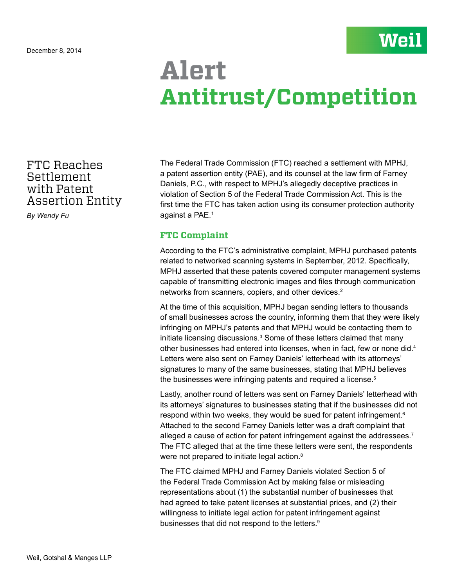## **Alert Antitrust/Competition**

FTC Reaches **Settlement** with Patent Assertion Entity

*By Wendy Fu*

The Federal Trade Commission (FTC) reached a settlement with MPHJ, a patent assertion entity (PAE), and its counsel at the law firm of Farney Daniels, P.C., with respect to MPHJ's allegedly deceptive practices in violation of Section 5 of the Federal Trade Commission Act. This is the first time the FTC has taken action using its consumer protection authority against a PAE.1

## **FTC Complaint**

According to the FTC's administrative complaint, MPHJ purchased patents related to networked scanning systems in September, 2012. Specifically, MPHJ asserted that these patents covered computer management systems capable of transmitting electronic images and files through communication networks from scanners, copiers, and other devices.<sup>2</sup>

At the time of this acquisition, MPHJ began sending letters to thousands of small businesses across the country, informing them that they were likely infringing on MPHJ's patents and that MPHJ would be contacting them to initiate licensing discussions.<sup>3</sup> Some of these letters claimed that many other businesses had entered into licenses, when in fact, few or none did.<sup>4</sup> Letters were also sent on Farney Daniels' letterhead with its attorneys' signatures to many of the same businesses, stating that MPHJ believes the businesses were infringing patents and required a license.<sup>5</sup>

Lastly, another round of letters was sent on Farney Daniels' letterhead with its attorneys' signatures to businesses stating that if the businesses did not respond within two weeks, they would be sued for patent infringement.<sup>6</sup> Attached to the second Farney Daniels letter was a draft complaint that alleged a cause of action for patent infringement against the addressees.<sup>7</sup> The FTC alleged that at the time these letters were sent, the respondents were not prepared to initiate legal action.<sup>8</sup>

The FTC claimed MPHJ and Farney Daniels violated Section 5 of the Federal Trade Commission Act by making false or misleading representations about (1) the substantial number of businesses that had agreed to take patent licenses at substantial prices, and (2) their willingness to initiate legal action for patent infringement against businesses that did not respond to the letters.<sup>9</sup>